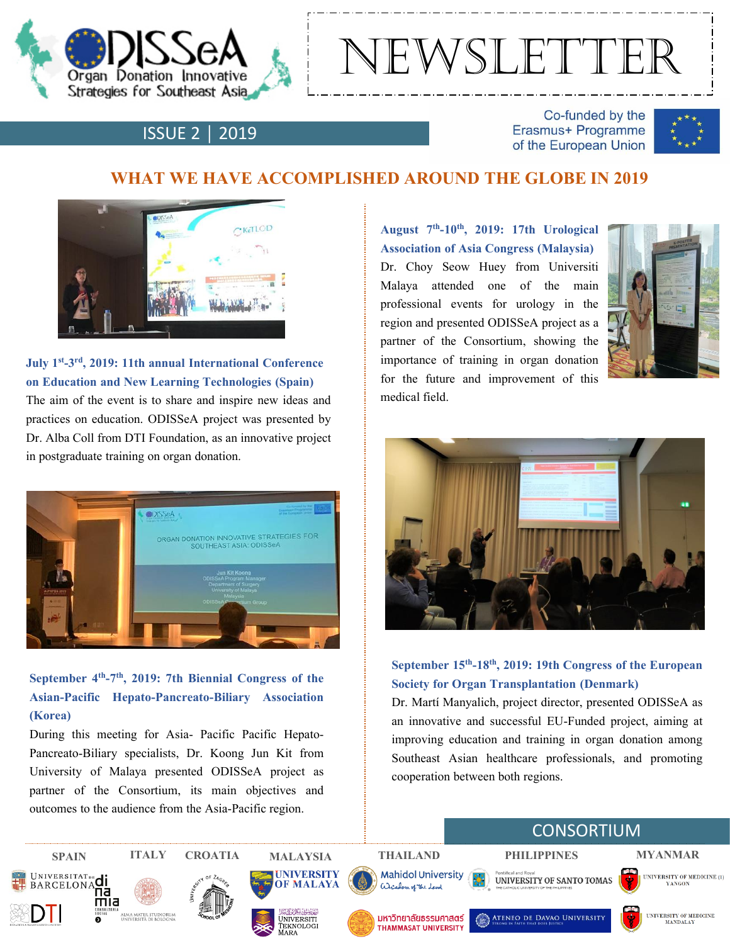

# nEWSLETTER

# ISSUE 2 │ 2019

Co-funded by the Erasmus+ Programme of the European Union



## **WHAT WE HAVE ACCOMPLISHED AROUND THE GLOBE IN 2019**



#### **July 1st -3 rd, 2019: 11th annual International Conference on Education and New Learning Technologies (Spain)**

The aim of the event is to share and inspire new ideas and practices on education. ODISSeA project was presented by Dr. Alba Coll from DTI Foundation, as an innovative project in postgraduate training on organ donation.



### **September 4 th -7 th , 2019: 7th Biennial Congress of the Asian-Pacific Hepato-Pancreato-Biliary Association (Korea)**

During this meeting for Asia- Pacific Pacific Hepato-Pancreato-Biliary specialists, Dr. Koong Jun Kit from University of Malaya presented ODISSeA project as partner of the Consortium, its main objectives and outcomes to the audience from the Asia-Pacific region.

**August 7 th -10th , 2019: 17th Urological Association of Asia Congress (Malaysia)** Dr. Choy Seow Huey from Universiti Malaya attended one of the main professional events for urology in the region and presented ODISSeA project as a partner of the Consortium, showing the importance of training in organ donation for the future and improvement of this medical field.





#### **September 15th -18th , 2019: 19th Congress of the European Society for Organ Transplantation (Denmark)**

Dr. Martí Manyalich, project director, presented ODISSeA as an innovative and successful EU-Funded project, aiming at improving education and training in organ donation among Southeast Asian healthcare professionals, and promoting cooperation between both regions.